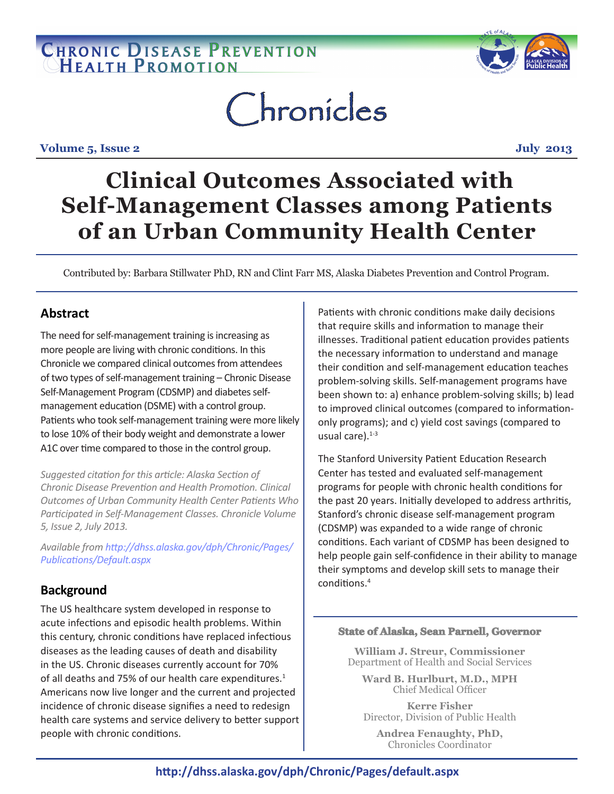## CHRONIC DISEASE PREVENTION



# Chronicles

**Volume 5, Issue 2** July 2013

## **Clinical Outcomes Associated with Self-Management Classes among Patients of an Urban Community Health Center**

Contributed by: Barbara Stillwater PhD, RN and Clint Farr MS, Alaska Diabetes Prevention and Control Program.

## **Abstract**

The need for self-management training is increasing as more people are living with chronic conditions. In this Chronicle we compared clinical outcomes from attendees of two types of self-management training – Chronic Disease Self-Management Program (CDSMP) and diabetes selfmanagement education (DSME) with a control group. Patients who took self-management training were more likely to lose 10% of their body weight and demonstrate a lower A1C over time compared to those in the control group.

*Suggested citation for this article: Alaska Section of Chronic Disease Prevention and Health Promotion. Clinical Outcomes of Urban Community Health Center Patients Who Participated in Self-Management Classes. Chronicle Volume 5, Issue 2, July 2013.* 

*Available from http://dhss.alaska.gov/dph/Chronic/Pages/ Publications/Default.aspx*

## **Background**

The US healthcare system developed in response to acute infections and episodic health problems. Within this century, chronic conditions have replaced infectious diseases as the leading causes of death and disability in the US. Chronic diseases currently account for 70% of all deaths and 75% of our health care expenditures.<sup>1</sup> Americans now live longer and the current and projected incidence of chronic disease signifies a need to redesign health care systems and service delivery to better support people with chronic conditions.

Patients with chronic conditions make daily decisions that require skills and information to manage their illnesses. Traditional patient education provides patients the necessary information to understand and manage their condition and self-management education teaches problem-solving skills. Self-management programs have been shown to: a) enhance problem-solving skills; b) lead to improved clinical outcomes (compared to informationonly programs); and c) yield cost savings (compared to usual care). $1-3$ 

The Stanford University Patient Education Research Center has tested and evaluated self-management programs for people with chronic health conditions for the past 20 years. Initially developed to address arthritis, Stanford's chronic disease self-management program (CDSMP) was expanded to a wide range of chronic conditions. Each variant of CDSMP has been designed to help people gain self-confidence in their ability to manage their symptoms and develop skill sets to manage their conditions.<sup>4</sup>

#### **State of Alaska, Sean Parnell, Governor**

**William J. Streur, Commissioner**  Department of Health and Social Services

**Ward B. Hurlburt, M.D., MPH** Chief Medical Officer

**Kerre Fisher** Director, Division of Public Health

**Andrea Fenaughty, PhD,** Chronicles Coordinator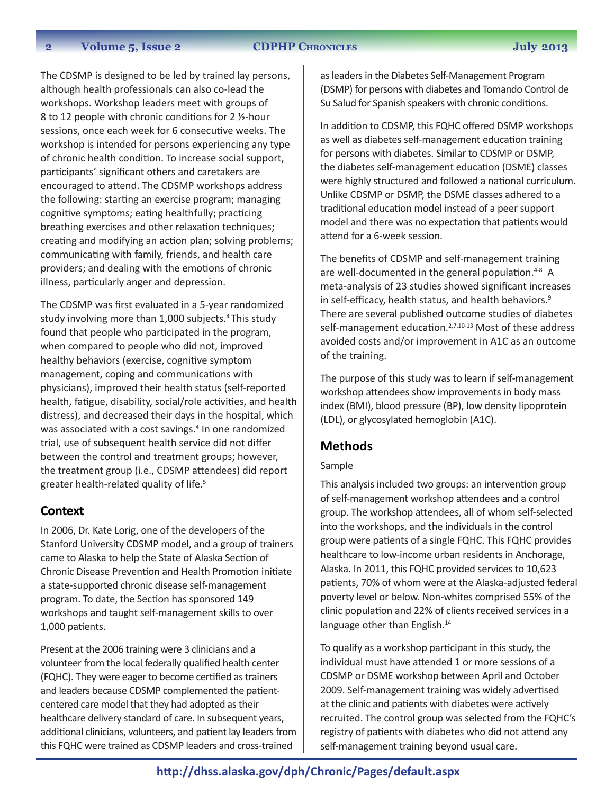#### **2 Volume 5, Issue 2 CDPHP ChroniCles July 2013**

The CDSMP is designed to be led by trained lay persons, although health professionals can also co-lead the workshops. Workshop leaders meet with groups of 8 to 12 people with chronic conditions for 2 ½-hour sessions, once each week for 6 consecutive weeks. The workshop is intended for persons experiencing any type of chronic health condition. To increase social support, participants' significant others and caretakers are encouraged to attend. The CDSMP workshops address the following: starting an exercise program; managing cognitive symptoms; eating healthfully; practicing breathing exercises and other relaxation techniques; creating and modifying an action plan; solving problems; communicating with family, friends, and health care providers; and dealing with the emotions of chronic illness, particularly anger and depression.

The CDSMP was first evaluated in a 5-year randomized study involving more than 1,000 subjects.4 This study found that people who participated in the program, when compared to people who did not, improved healthy behaviors (exercise, cognitive symptom management, coping and communications with physicians), improved their health status (self-reported health, fatigue, disability, social/role activities, and health distress), and decreased their days in the hospital, which was associated with a cost savings.<sup>4</sup> In one randomized trial, use of subsequent health service did not differ between the control and treatment groups; however, the treatment group (i.e., CDSMP attendees) did report greater health-related quality of life.<sup>5</sup>

#### **Context**

In 2006, Dr. Kate Lorig, one of the developers of the Stanford University CDSMP model, and a group of trainers came to Alaska to help the State of Alaska Section of Chronic Disease Prevention and Health Promotion initiate a state-supported chronic disease self-management program. To date, the Section has sponsored 149 workshops and taught self-management skills to over 1,000 patients.

Present at the 2006 training were 3 clinicians and a volunteer from the local federally qualified health center (FQHC). They were eager to become certified as trainers and leaders because CDSMP complemented the patientcentered care model that they had adopted as their healthcare delivery standard of care. In subsequent years, additional clinicians, volunteers, and patient lay leaders from this FQHC were trained as CDSMP leaders and cross-trained

as leaders in the Diabetes Self-Management Program (DSMP) for persons with diabetes and Tomando Control de Su Salud for Spanish speakers with chronic conditions.

In addition to CDSMP, this FQHC offered DSMP workshops as well as diabetes self-management education training for persons with diabetes. Similar to CDSMP or DSMP, the diabetes self-management education (DSME) classes were highly structured and followed a national curriculum. Unlike CDSMP or DSMP, the DSME classes adhered to a traditional education model instead of a peer support model and there was no expectation that patients would attend for a 6-week session.

The benefits of CDSMP and self-management training are well-documented in the general population. $4-8$  A meta-analysis of 23 studies showed significant increases in self-efficacy, health status, and health behaviors.<sup>9</sup> There are several published outcome studies of diabetes self-management education.<sup>2,7,10-13</sup> Most of these address avoided costs and/or improvement in A1C as an outcome of the training.

The purpose of this study was to learn if self-management workshop attendees show improvements in body mass index (BMI), blood pressure (BP), low density lipoprotein (LDL), or glycosylated hemoglobin (A1C).

## **Methods**

#### Sample

This analysis included two groups: an intervention group of self-management workshop attendees and a control group. The workshop attendees, all of whom self-selected into the workshops, and the individuals in the control group were patients of a single FQHC. This FQHC provides healthcare to low-income urban residents in Anchorage, Alaska. In 2011, this FQHC provided services to 10,623 patients, 70% of whom were at the Alaska-adjusted federal poverty level or below. Non-whites comprised 55% of the clinic population and 22% of clients received services in a language other than English.<sup>14</sup>

To qualify as a workshop participant in this study, the individual must have attended 1 or more sessions of a CDSMP or DSME workshop between April and October 2009. Self-management training was widely advertised at the clinic and patients with diabetes were actively recruited. The control group was selected from the FQHC's registry of patients with diabetes who did not attend any self-management training beyond usual care.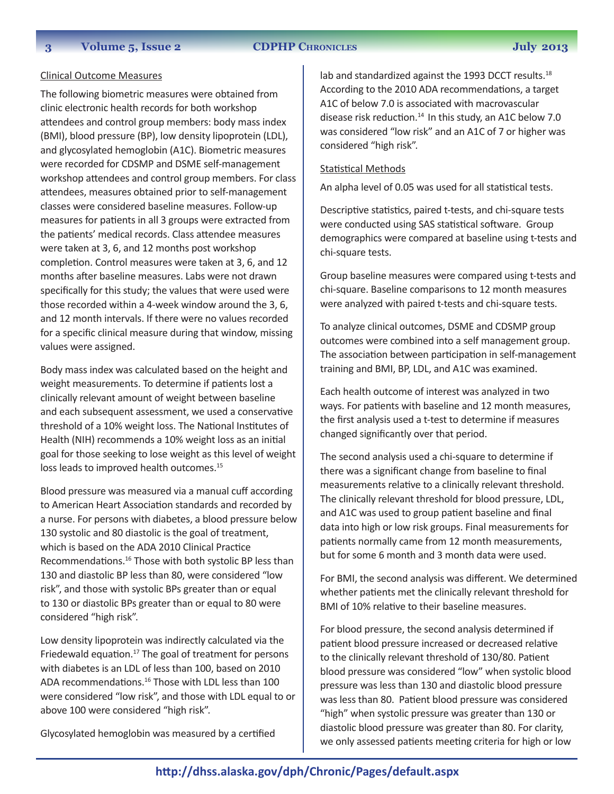#### **3 Volume 5, Issue 2 CDPHP ChroniCles July 2013**

#### Clinical Outcome Measures

The following biometric measures were obtained from clinic electronic health records for both workshop attendees and control group members: body mass index (BMI), blood pressure (BP), low density lipoprotein (LDL), and glycosylated hemoglobin (A1C). Biometric measures were recorded for CDSMP and DSME self-management workshop attendees and control group members. For class attendees, measures obtained prior to self-management classes were considered baseline measures. Follow-up measures for patients in all 3 groups were extracted from the patients' medical records. Class attendee measures were taken at 3, 6, and 12 months post workshop completion. Control measures were taken at 3, 6, and 12 months after baseline measures. Labs were not drawn specifically for this study; the values that were used were those recorded within a 4-week window around the 3, 6, and 12 month intervals. If there were no values recorded for a specific clinical measure during that window, missing values were assigned.

Body mass index was calculated based on the height and weight measurements. To determine if patients lost a clinically relevant amount of weight between baseline and each subsequent assessment, we used a conservative threshold of a 10% weight loss. The National Institutes of Health (NIH) recommends a 10% weight loss as an initial goal for those seeking to lose weight as this level of weight loss leads to improved health outcomes.<sup>15</sup>

Blood pressure was measured via a manual cuff according to American Heart Association standards and recorded by a nurse. For persons with diabetes, a blood pressure below 130 systolic and 80 diastolic is the goal of treatment, which is based on the ADA 2010 Clinical Practice Recommendations.16 Those with both systolic BP less than 130 and diastolic BP less than 80, were considered "low risk", and those with systolic BPs greater than or equal to 130 or diastolic BPs greater than or equal to 80 were considered "high risk".

Low density lipoprotein was indirectly calculated via the Friedewald equation. $17$  The goal of treatment for persons with diabetes is an LDL of less than 100, based on 2010 ADA recommendations.<sup>16</sup> Those with LDL less than 100 were considered "low risk", and those with LDL equal to or above 100 were considered "high risk".

Glycosylated hemoglobin was measured by a certified

lab and standardized against the 1993 DCCT results.<sup>18</sup> According to the 2010 ADA recommendations, a target A1C of below 7.0 is associated with macrovascular disease risk reduction. $14$  In this study, an A1C below 7.0 was considered "low risk" and an A1C of 7 or higher was considered "high risk".

#### Statistical Methods

An alpha level of 0.05 was used for all statistical tests.

Descriptive statistics, paired t-tests, and chi-square tests were conducted using SAS statistical software. Group demographics were compared at baseline using t-tests and chi-square tests.

Group baseline measures were compared using t-tests and chi-square. Baseline comparisons to 12 month measures were analyzed with paired t-tests and chi-square tests.

To analyze clinical outcomes, DSME and CDSMP group outcomes were combined into a self management group. The association between participation in self-management training and BMI, BP, LDL, and A1C was examined.

Each health outcome of interest was analyzed in two ways. For patients with baseline and 12 month measures, the first analysis used a t-test to determine if measures changed significantly over that period.

The second analysis used a chi-square to determine if there was a significant change from baseline to final measurements relative to a clinically relevant threshold. The clinically relevant threshold for blood pressure, LDL, and A1C was used to group patient baseline and final data into high or low risk groups. Final measurements for patients normally came from 12 month measurements, but for some 6 month and 3 month data were used.

For BMI, the second analysis was different. We determined whether patients met the clinically relevant threshold for BMI of 10% relative to their baseline measures.

For blood pressure, the second analysis determined if patient blood pressure increased or decreased relative to the clinically relevant threshold of 130/80. Patient blood pressure was considered "low" when systolic blood pressure was less than 130 and diastolic blood pressure was less than 80. Patient blood pressure was considered "high" when systolic pressure was greater than 130 or diastolic blood pressure was greater than 80. For clarity, we only assessed patients meeting criteria for high or low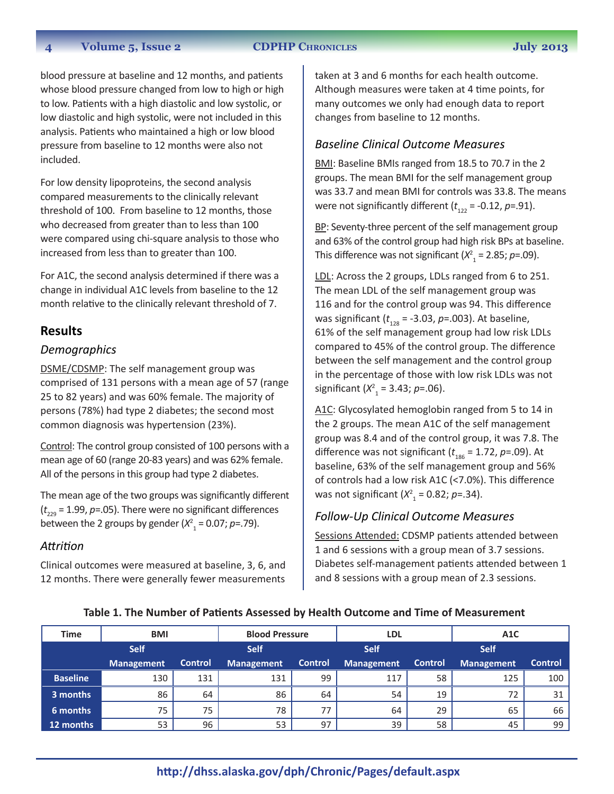#### **4 Volume 5, Issue 2 CDPHP Chronicles July 2013**

blood pressure at baseline and 12 months, and patients whose blood pressure changed from low to high or high to low. Patients with a high diastolic and low systolic, or low diastolic and high systolic, were not included in this analysis. Patients who maintained a high or low blood pressure from baseline to 12 months were also not included.

For low density lipoproteins, the second analysis compared measurements to the clinically relevant threshold of 100. From baseline to 12 months, those who decreased from greater than to less than 100 were compared using chi-square analysis to those who increased from less than to greater than 100.

For A1C, the second analysis determined if there was a change in individual A1C levels from baseline to the 12 month relative to the clinically relevant threshold of 7.

#### **Results**

#### *Demographics*

DSME/CDSMP: The self management group was comprised of 131 persons with a mean age of 57 (range 25 to 82 years) and was 60% female. The majority of persons (78%) had type 2 diabetes; the second most common diagnosis was hypertension (23%).

Control: The control group consisted of 100 persons with a mean age of 60 (range 20-83 years) and was 62% female. All of the persons in this group had type 2 diabetes.

The mean age of the two groups was significantly different (*t* 229 = 1.99, *p*=.05). There were no significant differences between the 2 groups by gender  $(X^2_{1} = 0.07; p=.79)$ .

#### *Attrition*

Clinical outcomes were measured at baseline, 3, 6, and 12 months. There were generally fewer measurements

taken at 3 and 6 months for each health outcome. Although measures were taken at 4 time points, for many outcomes we only had enough data to report changes from baseline to 12 months.

#### *Baseline Clinical Outcome Measures*

BMI: Baseline BMIs ranged from 18.5 to 70.7 in the 2 groups. The mean BMI for the self management group was 33.7 and mean BMI for controls was 33.8. The means were not significantly different  $(t_{122} = -0.12, p=.91)$ .

BP: Seventy-three percent of the self management group and 63% of the control group had high risk BPs at baseline. This difference was not significant  $(X^2) = 2.85$ ; *p*=.09).

LDL: Across the 2 groups, LDLs ranged from 6 to 251. The mean LDL of the self management group was 116 and for the control group was 94. This difference was significant ( $t_{128}$  = -3.03, *p*=.003). At baseline, 61% of the self management group had low risk LDLs compared to 45% of the control group. The difference between the self management and the control group in the percentage of those with low risk LDLs was not significant  $(X^2) = 3.43; p = .06$ ).

A1C: Glycosylated hemoglobin ranged from 5 to 14 in the 2 groups. The mean A1C of the self management group was 8.4 and of the control group, it was 7.8. The difference was not significant  $(t_{186} = 1.72, p = .09)$ . At baseline, 63% of the self management group and 56% of controls had a low risk A1C (<7.0%). This difference was not significant  $(X^2) = 0.82; p = 0.34$ .

#### *Follow-Up Clinical Outcome Measures*

Sessions Attended: CDSMP patients attended between 1 and 6 sessions with a group mean of 3.7 sessions. Diabetes self-management patients attended between 1 and 8 sessions with a group mean of 2.3 sessions.

| <b>Time</b>     | <b>BMI</b>        |                | <b>Blood Pressure</b> |         | <b>LDL</b>        |                | A1C         |                |
|-----------------|-------------------|----------------|-----------------------|---------|-------------------|----------------|-------------|----------------|
|                 | <b>Self</b>       |                | <b>Self</b>           |         | <b>Self</b>       |                | <b>Self</b> |                |
|                 | <b>Management</b> | <b>Control</b> | <b>Management</b>     | Control | <b>Management</b> | <b>Control</b> | Management  | <b>Control</b> |
| <b>Baseline</b> | 130               | 131            | 131                   | 99      | 117               | 58             | 125         | 100            |
| 3 months        | 86                | 64             | 86                    | 64      | 54                | 19             | 72          | 31             |
| 6 months        | 75                | 75             | 78                    | 77      | 64                | 29             | 65          | 66             |
| 12 months       | 53                | 96             | 53                    | 97      | 39                | 58             | 45          | 99             |

#### **Table 1. The Number of Patients Assessed by Health Outcome and Time of Measurement**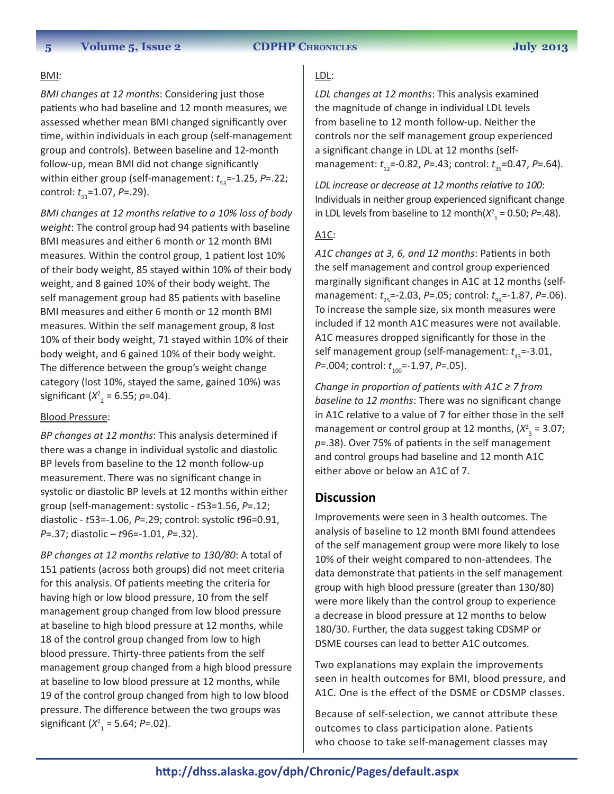#### BMI:

*BMI changes at 12 months*: Considering just those patients who had baseline and 12 month measures, we assessed whether mean BMI changed significantly over time, within individuals in each group (self-management group and controls). Between baseline and 12-month follow-up, mean BMI did not change significantly within either group (self-management:  $t_{53}$ =-1.25, *P*=.22; control:  $t_{q1}$ =1.07, *P*=.29).

*BMI changes at 12 months relative to a 10% loss of body weight*: The control group had 94 patients with baseline BMI measures and either 6 month or 12 month BMI measures. Within the control group, 1 patient lost 10% of their body weight, 85 stayed within 10% of their body weight, and 8 gained 10% of their body weight. The self management group had 85 patients with baseline BMI measures and either 6 month or 12 month BMI measures. Within the self management group, 8 lost 10% of their body weight, 71 stayed within 10% of their body weight, and 6 gained 10% of their body weight. The difference between the group's weight change category (lost 10%, stayed the same, gained 10%) was significant  $(X^2_{2} = 6.55; p = .04)$ .

#### Blood Pressure:

*BP changes at 12 months*: This analysis determined if there was a change in individual systolic and diastolic BP levels from baseline to the 12 month follow-up measurement. There was no significant change in systolic or diastolic BP levels at 12 months within either group (self-management: systolic - *t*53=1.56, *P*=.12; diastolic - *t*53=-1.06, *P*=.29; control: systolic *t*96=0.91, *P*=.37; diastolic – *t*96=-1.01, *P*=.32).

*BP changes at 12 months relative to 130/80*: A total of 151 patients (across both groups) did not meet criteria for this analysis. Of patients meeting the criteria for having high or low blood pressure, 10 from the self management group changed from low blood pressure at baseline to high blood pressure at 12 months, while 18 of the control group changed from low to high blood pressure. Thirty-three patients from the self management group changed from a high blood pressure at baseline to low blood pressure at 12 months, while 19 of the control group changed from high to low blood pressure. The difference between the two groups was significant (*X*<sup>2</sup> 1 = 5.64; *P*=.02).

## LDL:

*LDL changes at 12 months*: This analysis examined the magnitude of change in individual LDL levels from baseline to 12 month follow-up. Neither the controls nor the self management group experienced a significant change in LDL at 12 months (selfmanagement:  $t_{12}$ =-0.82, *P*=.43; control:  $t_{35}$ =0.47, *P*=.64).

*LDL increase or decrease at 12 months relative to 100*: Individuals in neither group experienced significant change in LDL levels from baseline to 12 month( $X^2$ <sub>1</sub> = 0.50; *P*=.48).

#### A1C:

*A1C changes at 3, 6, and 12 months*: Patients in both the self management and control group experienced marginally significant changes in A1C at 12 months (selfmanagement:  $t_{25}$ =-2.03, *P*=.05; control:  $t_{99}$ =-1.87, *P*=.06). To increase the sample size, six month measures were included if 12 month A1C measures were not available. A1C measures dropped significantly for those in the self management group (self-management:  $t_{12}$ =-3.01, *P*=.004; control:  $t_{100}$ =-1.97, *P*=.05).

*Change in proportion of patients with A1C ≥ 7 from baseline to 12 months*: There was no significant change in A1C relative to a value of 7 for either those in the self management or control group at 12 months,  $(X^2_{3} = 3.07;$ *p*=.38). Over 75% of patients in the self management and control groups had baseline and 12 month A1C either above or below an A1C of 7.

## **Discussion**

Improvements were seen in 3 health outcomes. The analysis of baseline to 12 month BMI found attendees of the self management group were more likely to lose 10% of their weight compared to non-attendees. The data demonstrate that patients in the self management group with high blood pressure (greater than 130/80) were more likely than the control group to experience a decrease in blood pressure at 12 months to below 180/30. Further, the data suggest taking CDSMP or DSME courses can lead to better A1C outcomes.

Two explanations may explain the improvements seen in health outcomes for BMI, blood pressure, and A1C. One is the effect of the DSME or CDSMP classes.

Because of self-selection, we cannot attribute these outcomes to class participation alone. Patients who choose to take self-management classes may